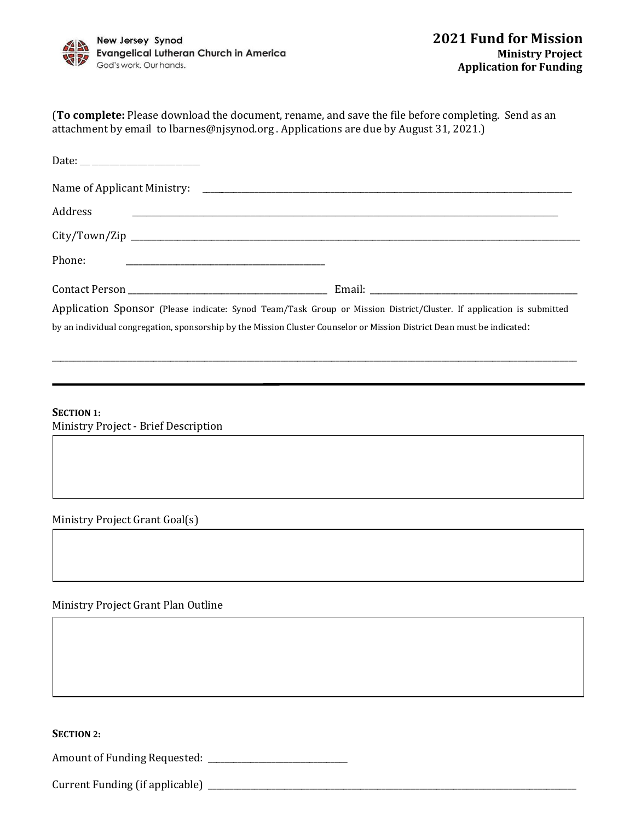

| (To complete: Please download the document, rename, and save the file before completing. Send as an |
|-----------------------------------------------------------------------------------------------------|
| attachment by email to lbarnes@njsynod.org . Applications are due by August 31, 2021.)              |

| Address<br><u> 1989 - John Stone, Amerikaansk politiker (* 1989)</u>                                                    |  |
|-------------------------------------------------------------------------------------------------------------------------|--|
|                                                                                                                         |  |
| Phone:<br><u> 1980 - John Stein, Amerikaansk politiker (* 1918)</u>                                                     |  |
|                                                                                                                         |  |
| Application Sponsor (Please indicate: Synod Team/Task Group or Mission District/Cluster. If application is submitted    |  |
| by an individual congregation, sponsorship by the Mission Cluster Counselor or Mission District Dean must be indicated: |  |

\_\_\_\_\_\_\_\_\_\_\_\_\_\_\_\_\_\_\_\_\_\_\_\_\_\_\_\_\_\_\_\_\_\_\_\_\_\_\_\_\_\_\_\_\_\_\_\_\_\_\_\_\_\_\_\_\_\_\_\_\_\_\_\_\_\_\_\_\_\_\_\_\_\_\_\_\_\_\_\_\_\_\_\_\_\_\_\_\_\_\_\_\_\_\_\_\_\_\_\_\_\_\_\_\_\_\_\_\_\_\_\_\_\_\_\_\_\_\_\_\_\_\_\_

**SECTION 1:** Ministry Project - Brief Description

Ministry Project Grant Goal(s)

Ministry Project Grant Plan Outline

**SECTION 2:** 

Amount of Funding Requested: \_\_\_\_\_\_\_\_\_\_\_\_\_\_\_\_\_\_\_\_\_\_\_\_\_\_\_\_\_\_\_\_\_

Current Funding (if applicable) \_\_\_\_\_\_\_\_\_\_\_\_\_\_\_\_\_\_\_\_\_\_\_\_\_\_\_\_\_\_\_\_\_\_\_\_\_\_\_\_\_\_\_\_\_\_\_\_\_\_\_\_\_\_\_\_\_\_\_\_\_\_\_\_\_\_\_\_\_\_\_\_\_\_\_\_\_\_\_\_\_\_\_\_\_\_\_